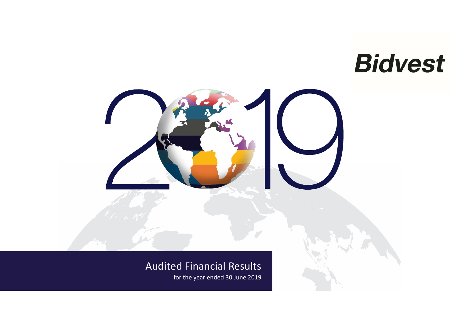**Bidvest** 

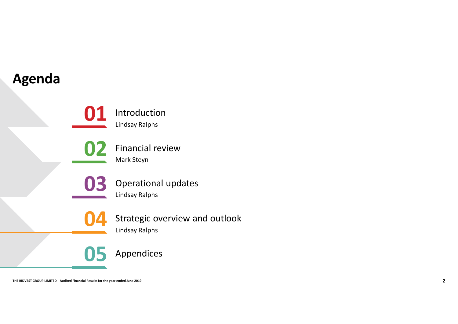# Agenda

Introduction Lindsay Ralphs **01** Introduction

Financial review Mark Steyn **02** Financial review

Operational updates Lindsay Ralphs 03 Operational upda

Trinancial review<br> **OB** Operational updates<br>
Undsay Ralphs<br>
COM Strategic overview and outlook<br>
Undsay Ralphs<br>
OB Appendices Strategic overview and outlook Lindsay Ralphs 04 Strategic overview

Appendices

05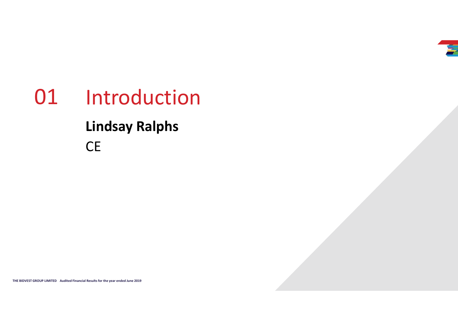

# The BiDVEST GROUP LIMITED AUDIENT MUSIC RESULTS FOR THE YEAR OLD TRANSPORTERS. 01 Introduction Lindsay Ralphs CE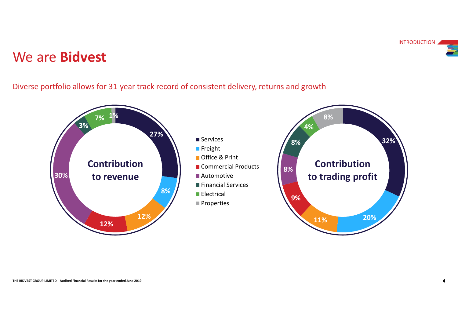# We are Bidvest

Diverse portfolio allows for 31-year track record of consistent delivery, returns and growth

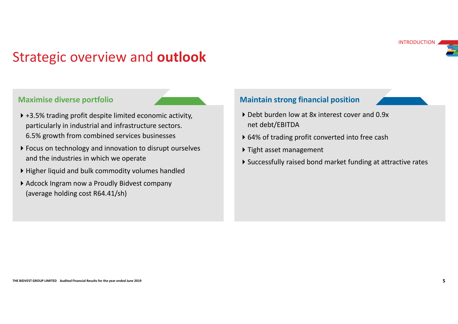# Strategic overview and outlook

### Maximise diverse portfolio

- ▶ +3.5% trading profit despite limited economic activity, particularly in industrial and infrastructure sectors. 6.5% growth from combined services businesses
- Fight asset management<br>
and the industries in which we operate<br>
⇒ Tight asset management<br>
⇒ Successfully raised bond market funding at attractive rates<br>
→ Bigher liquid and bulk commodity bolumes handled<br>
→ Adcock Ingram ▶ Focus on technology and innovation to disrupt ourselves and the industries in which we operate
	- Higher liquid and bulk commodity volumes handled
	- ▶ Adcock Ingram now a Proudly Bidvest company (average holding cost R64.41/sh)

### Maintain strong financial position

- ▶ Debt burden low at 8x interest cover and 0.9x net debt/EBITDA
- ▶ 64% of trading profit converted into free cash
- ▶ Tight asset management
- Successfully raised bond market funding at attractive rates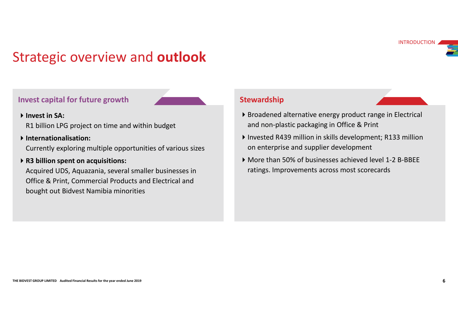# Strategic overview and outlook

### Invest capital for future growth

### Invest in SA:

R1 billion LPG project on time and within budget

### Internationalisation:

Currently exploring multiple opportunities of various sizes

### ▶ R3 billion spent on acquisitions:

Currently exploring multiple opportunities of various sizes<br> **THE BIBIION spectral Results for the SPS** of businesses achieved level 1-2 B-BBEE<br>
Acquired UDS, Aquazania, several smaller businesses in<br>
Office & Print, Comme Acquired UDS, Aquazania, several smaller businesses in Office & Print, Commercial Products and Electrical and bought out Bidvest Namibia minorities

### **Stewardship**

- Broadened alternative energy product range in Electrical and non-plastic packaging in Office & Print
- Invested R439 million in skills development; R133 million on enterprise and supplier development
- More than 50% of businesses achieved level 1-2 B-BBEE ratings. Improvements across most scorecards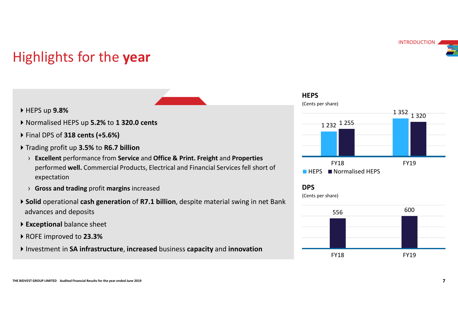# Highlights for the year **Highlights for the year**<br>
→ HEPS up 9.8%<br>
→ Normalised HEPS up 5.2% to 1 320.0 cents<br>
→ Final DPS of 318 cents (+5.6%)<br>
→ Trading profit up 3.5% to R6.7 billion<br>
→ Excellent performance from Service and Office & Print. F

- HEPS up 9.8%
- 
- ▶ Final DPS of 318 cents (+5.6%)
- ▶ Trading profit up 3.5% to R6.7 billion
	- › Excellent performance from Service and Office & Print. Freight and Properties performed well. Commercial Products, Electrical and Financial Services fell short of expectation
	- › Gross and trading profit margins increased
- ▶ Solid operational cash generation of R7.1 billion, despite material swing in net Bank advances and deposits
- Exceptional balance sheet
- ▶ ROFE improved to 23.3%
- Investment in SA infrastructure, increased business capacity and innovation **EXALL ENGINEEYES**<br>FY18



DPS

(Cents per share)

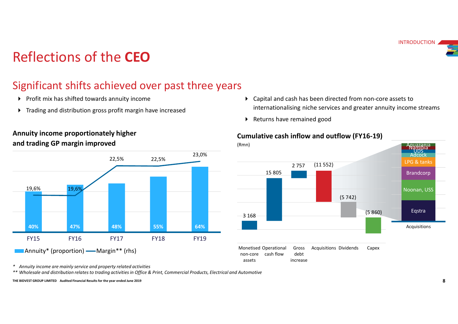# Reflections of the CEO

# Significant shifts achieved over past three years

- $\triangleright$  Profit mix has shifted towards annuity income
- 
- Annuity income proportionately higher and trading GP margin improved



- Internationalising niche services and greater annuity income streams **Trading and distribution gross profit margin have increased**  Capital and cash has been directed from non-core assets to internationalising niche services and greater annuity income streams<br>
Returns have remained good<br> **Aditive cash inflow and outflow (FY16-19)** 
	- Returns have remained good

### Cumulative cash inflow and outflow (FY16-19)

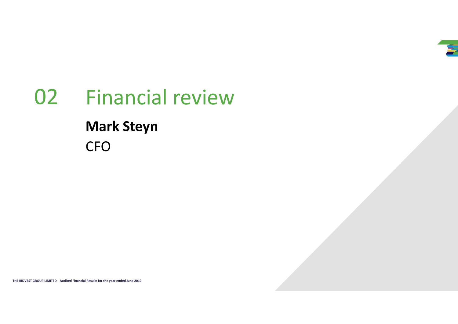

# The Bidvest Group Limited Audited Financial Results for the year ended June 2019 919<br>The Bidvest Group Limited Audited Financial Results for the year ended June 2019 919<br>The State Audited Audited Audited States for the yea Financial review 02Mark Steyn CFO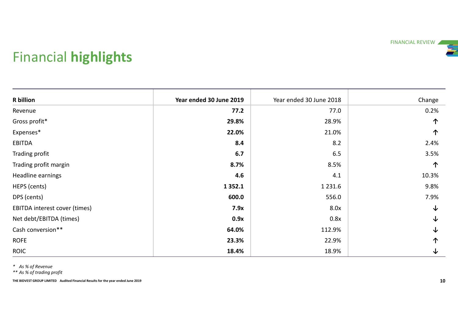# Financial highlights

| <b>Financial highlights</b>                                                                                                        |                         |                         | FINANCIAL REVIEW |
|------------------------------------------------------------------------------------------------------------------------------------|-------------------------|-------------------------|------------------|
| <b>R</b> billion                                                                                                                   | Year ended 30 June 2019 | Year ended 30 June 2018 | Change           |
| Revenue                                                                                                                            | 77.2                    | 77.0                    | 0.2%             |
| Gross profit*                                                                                                                      | 29.8%                   | 28.9%                   | 个                |
| Expenses*                                                                                                                          | 22.0%                   | 21.0%                   | 个                |
| EBITDA                                                                                                                             | 8.4                     | 8.2                     | 2.4%             |
| Trading profit                                                                                                                     | 6.7                     | 6.5                     | 3.5%             |
| Trading profit margin                                                                                                              | 8.7%                    | 8.5%                    | 个                |
| Headline earnings                                                                                                                  | 4.6                     | 4.1                     | 10.3%            |
| HEPS (cents)                                                                                                                       | 1 3 5 2 . 1             | 1 2 3 1 . 6             | 9.8%             |
| DPS (cents)                                                                                                                        | 600.0                   | 556.0                   | 7.9%             |
| EBITDA interest cover (times)                                                                                                      | 7.9x                    | 8.0x                    | $\downarrow$     |
| Net debt/EBITDA (times)                                                                                                            | 0.9x                    | 0.8x                    | ↓                |
| Cash conversion**                                                                                                                  | 64.0%                   | 112.9%                  | ↓                |
| <b>ROFE</b>                                                                                                                        | 23.3%                   | 22.9%                   | 个                |
| ROIC                                                                                                                               | 18.4%                   | 18.9%                   | $\downarrow$     |
| * As % of Revenue<br>** As % of trading profit<br>THE BIDVEST GROUP LIMITED Audited Financial Results for the year ended June 2019 |                         |                         |                  |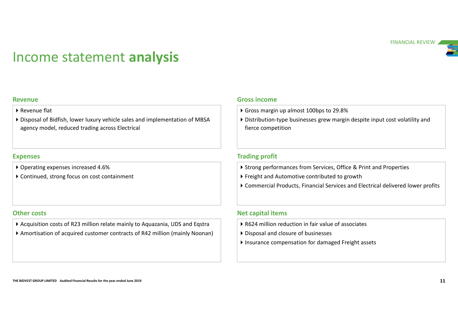# Income statement analysis



### Revenue

- Revenue flat
- Disposal of Bidfish, lower luxury vehicle sales and implementation of MBSA agency model, reduced trading across Electrical

### Expenses

- ▶ Operating expenses increased 4.6%
- Continued, strong focus on cost containment

- Acquisition costs of R23 million relate mainly to Aquazania, UDS and Eqstra
- Expenses<br>
 Continued, strong focus on cost containment<br>
 Continued, strong focus on cost containment<br>
 Continued, strong focus on cost containment<br>
 Commercial Products, Financial Services and Electrical delivered lowe Amortisation of acquired customer contracts of R42 million (mainly Noonan)

### Gross income

- Gross margin up almost 100bps to 29.8%
- Distribution-type businesses grew margin despite input cost volatility and fierce competition

### Trading profit

- ▶ Strong performances from Services, Office & Print and Properties
- Freight and Automotive contributed to growth
- Commercial Products, Financial Services and Electrical delivered lower profits

### Other costs **Net capital items**

- ▶ R624 million reduction in fair value of associates
- Disposal and closure of businesses
- Insurance compensation for damaged Freight assets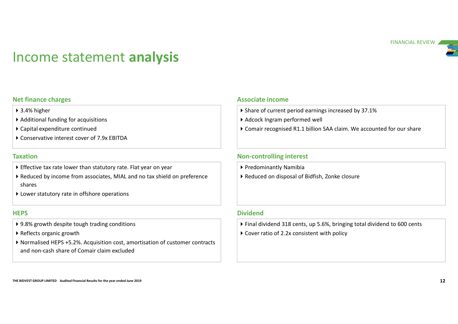# Income statement analysis

### Net finance charges

- ▶ 3.4% higher
- ▶ Additional funding for acquisitions
- Capital expenditure continued
- Conservative interest cover of 7.9x EBITDA

### Taxation

- Effective tax rate lower than statutory rate. Flat year on year
- Reduced by income from associates, MIAL and no tax shield on preference shares
- ▶ Lower statutory rate in offshore operations

- ▶ 9.8% growth despite tough trading conditions
- ▶ Reflects organic growth
- Taxation<br>
Taxation<br>
Controlling interest<br>
Controlling interest<br>
Controlling interest<br>
Controlling interest<br>
Controlling interest<br>
Controlling interest<br>
Controlling interest<br>
Controlling interest<br>
Controlling interest<br>
Con Normalist endit in the section of the section of customer contracts<br>
Non-controlling interest<br>
Non-controlling interest<br>
Non-controlling interest<br>
Non-controlling interest<br>
Non-controlling interest<br>
Non-controlling intere and non-cash share of Comair claim excluded

### Associate income

- Share of current period earnings increased by 37.1%
- Adcock Ingram performed well
- FINANCIAL REVIEW<br>
Sasociate income<br>
 Share of current period earnings increased by 37.1%<br>
 Adcock Ingram performed well<br>
 Comair recognised R1.1 billion SAA claim. We accounted for our share<br>
 Predominantly Namibia<br>
•

### Non-controlling interest

- Predominantly Namibia
- Reduced on disposal of Bidfish, Zonke closure

### **HEPS** Dividend

- Final dividend 318 cents, up 5.6%, bringing total dividend to 600 cents
- ▶ Cover ratio of 2.2x consistent with policy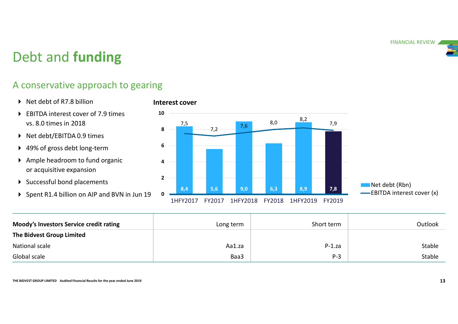# Debt and funding

# A conservative approach to gearing

- ▶ Net debt of R7.8 billion
- ▶ EBITDA interest cover of 7.9 times 10 vs. 8.0 times in 2018
- ▶ Net debt/EBITDA 0.9 times
- 49% of gross debt long-term
- Ample headroom to fund organic or acquisitive expansion
- ▶ Successful bond placements 2 2 8.4
- 





| ▶ 49% of gross debt long-term                                                    | 6              |        |           |        |          |            |                            |
|----------------------------------------------------------------------------------|----------------|--------|-----------|--------|----------|------------|----------------------------|
| Ample headroom to fund organic<br>or acquisitive expansion                       | 4              |        |           |        |          |            |                            |
| Successful bond placements                                                       | $\overline{2}$ |        |           |        |          |            | Net debt (Rbn)             |
| ▶ Spent R1.4 billion on AIP and BVN in Jun 19                                    | 8,4            | 5,6    | 9,0       | 6,3    | 8,9      | 7,8        | -EBITDA interest cover (x) |
|                                                                                  | 1HFY2017       | FY2017 | 1HFY2018  | FY2018 | 1HFY2019 | FY2019     |                            |
| Moody's Investors Service credit rating                                          |                |        | Long term |        |          | Short term | Outlook                    |
| The Bidvest Group Limited                                                        |                |        |           |        |          |            |                            |
| National scale                                                                   |                |        | Aa1.za    |        |          | $P-1.za$   | Stable                     |
| Global scale                                                                     |                |        | Baa3      |        |          | $P-3$      | Stable                     |
| THE BIDVEST GROUP LIMITED Audited Financial Results for the year ended June 2019 |                |        |           |        |          |            | 13                         |
|                                                                                  |                |        |           |        |          |            |                            |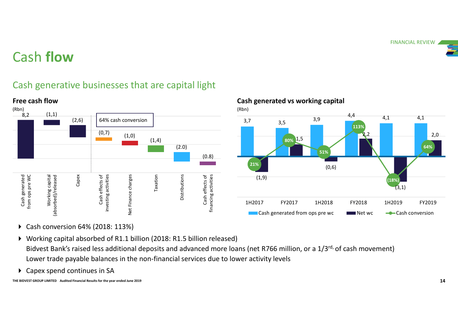

# Cash flow

Free cash flow

# Cash generative businesses that are capital light



# Cash generated vs working capital (Rbn)  $3,7$   $3,5$   $3,9$   $4,1$ 4,4 4,1 4,1  $(1, 9)$ 1,5 **The Contract of Section 1.5** (0,6)  $2,2$  2,0  $(3,1)$  $2,0$  $21\%$  and  $(0.6)$ 80% 1,5 51% **Fig. 1. The Contract of Action** and Action and Action and Action and Action and Action and Action and Action **113%** (18%) 64% 1H2017 FY2017 1H2018 FY2018 1H2019 FY2019 Cash generated from ops pre wc Net wc  $\leftarrow$  Cash conversion

- ▶ Cash conversion 64% (2018: 113%)
- Working capital absorbed of R1.1 billion (2018: R1.5 billion released) Bidvest Bank's raised less additional deposits and advanced more loans (net R766 million, or a 1/3rd, of cash movement) Lower trade payable balances in the non-financial services due to lower activity levels
- ▶ Capex spend continues in SA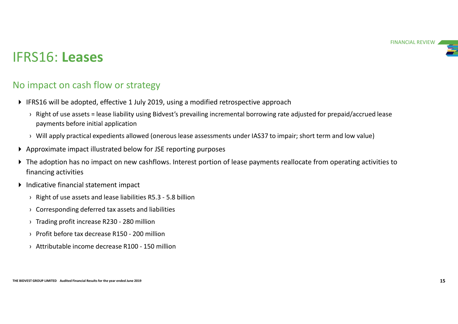# IFRS16: Leases

# No impact on cash flow or strategy

- IFRS16 will be adopted, effective 1 July 2019, using a modified retrospective approach
- **S16: Leases**<br> **CELC CELC CELC CELC CELC CELC CELC**<br>
 Right of use assets = lease liability using Bidvest's prevailing incremental borrowing rate adjusted for prepaid/accrued lease<br>
 Payments before initial application<br> payments before initial application
	-
- Approximate impact illustrated below for JSE reporting purposes
- → Approximate impact illustrated below for JSE reporting purposes<br>
→ The adoption has no impact on new cashflows. Interest portion of lease payments reallocate from operating activities to<br>
financial gactivities for the **S16: Leases**<br> **S16: Lease Allow or strategy**<br>
FRS16 will be adopted, effective 1 July 2019, using a modified retrospective approach<br>
<sup>2</sup><br>
<sup>2</sup> Right of use assets = lease liability using Bidvest's prevailing incremental bo The adoption has no impact on new cashflows. Interest portion of lease payments reallocate from operating activities to financing activities › Right of use assets and lease liabilities R5.3 - 5.8 billion **EXECT WATER THE ASSOCIAT CONDUCT STATE STATE STATE STATE STATE SPACE THE SET AND ARTLET SPACE THE SPACE THE SPACE THE SPACE THE SPACE THE SPACE THE SPACE THE SPACE THE SPACE OF SPACE THE SPACE OF SPACE AND APPLY practica ITIPICU OF CAST THOW OF SU ALCEGY**<br>
FRS16 will be adopted, effective 1 July 2019, using a modified retrospective approach<br>
• Right of use assets = lease liability using Bidvest's prevailing incremental borrowing rate adj<br> FRS16 will be adopted, effective 1 July 2019, using a modified retrospective approach<br>
• Right of use assets = lease liability using Bidvest's prevailing incremental borrowing rate adjuste<br>
payments before initial applicat • Right of use assets = lease liability using Bidvest's prevailing incremental borrowing rate adjusted for payments before initial application<br>• Will apply practical expedients allowed (onerous lease assessments under IAS3
	- Indicative financial statement impact
		-
		-
		-
		-
		-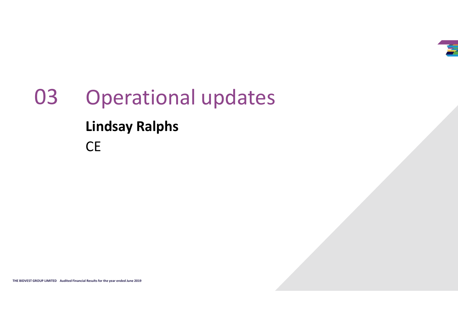

# The BiDVEST GROUP LIMITED AUDIENT MUSIC RESULTS FOR THE YEAR OLD TRANSPORTER.<br>The BiDVEST GROUP LIMITED AND ANNOUNCED AUDIENT CONTINUES FOR THE YEAR OLD TRANSPORTER. Operational updates Lindsay Ralphs CE 03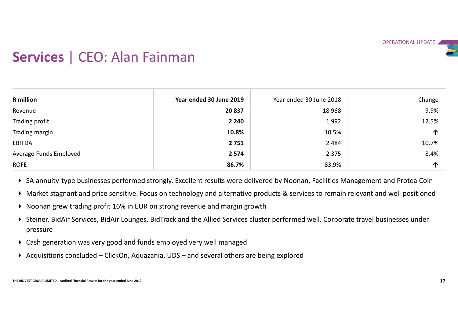# Services | CEO: Alan Fainman

- ▶ Noonan grew trading profit 16% in EUR on strong revenue and margin growth
- ▶ Steiner, BidAir Services, BidAir Lounges, BidTrack and the Allied Services cluster performed well. Corporate travel businesses under pressure
- Cash generation was very good and funds employed very well managed
-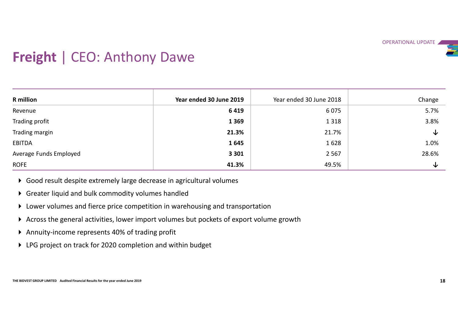

# Freight | CEO: Anthony Dawe

- Good result despite extremely large decrease in agricultural volumes
- Greater liquid and bulk commodity volumes handled
- Lower volumes and fierce price competition in warehousing and transportation
- Across the general activities, lower import volumes but pockets of export volume growth
- Annuity-income represents 40% of trading profit
- LPG project on track for 2020 completion and within budget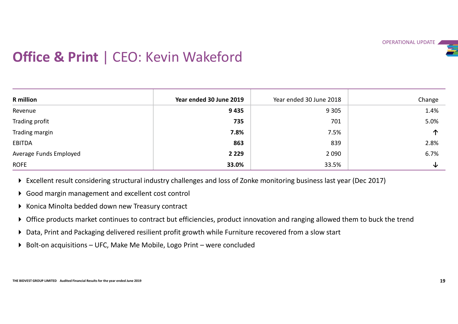

# **Office & Print | CEO: Kevin Wakeford**

|                                                     |                                                                                                                                |                         | OPERATIONAL UPDATE |
|-----------------------------------------------------|--------------------------------------------------------------------------------------------------------------------------------|-------------------------|--------------------|
| <b>Office &amp; Print   CEO: Kevin Wakeford</b>     |                                                                                                                                |                         |                    |
|                                                     |                                                                                                                                |                         |                    |
|                                                     |                                                                                                                                |                         |                    |
|                                                     |                                                                                                                                |                         |                    |
| <b>R</b> million                                    | Year ended 30 June 2019                                                                                                        | Year ended 30 June 2018 | Change             |
| Revenue                                             | 9435<br>735                                                                                                                    | 9 3 0 5<br>701          | 1.4%<br>5.0%       |
| Trading profit                                      | 7.8%                                                                                                                           | 7.5%                    | 个                  |
| Trading margin<br><b>EBITDA</b>                     | 863                                                                                                                            | 839                     | 2.8%               |
| Average Funds Employed                              | 2 2 2 9                                                                                                                        | 2 0 9 0                 | 6.7%               |
| <b>ROFE</b>                                         | 33.0%                                                                                                                          | 33.5%                   | $\downarrow$       |
|                                                     |                                                                                                                                |                         |                    |
|                                                     | ▶ Excellent result considering structural industry challenges and loss of Zonke monitoring business last year (Dec 2017)       |                         |                    |
| ▶ Good margin management and excellent cost control |                                                                                                                                |                         |                    |
| ▶ Konica Minolta bedded down new Treasury contract  |                                                                                                                                |                         |                    |
|                                                     | ▶ Office products market continues to contract but efficiencies, product innovation and ranging allowed them to buck the trend |                         |                    |
|                                                     | Data, Print and Packaging delivered resilient profit growth while Furniture recovered from a slow start                        |                         |                    |
|                                                     |                                                                                                                                |                         |                    |
|                                                     | ▶ Bolt-on acquisitions - UFC, Make Me Mobile, Logo Print - were concluded                                                      |                         |                    |

- Excellent result considering structural industry challenges and loss of Zonke monitoring business last year (Dec 2017)
- Good margin management and excellent cost control
- ▶ Konica Minolta bedded down new Treasury contract
- Office products market continues to contract but efficiencies, product innovation and ranging allowed them to buck the trend
- Data, Print and Packaging delivered resilient profit growth while Furniture recovered from a slow start
-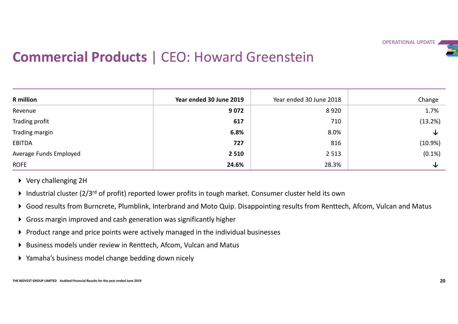

# Commercial Products | CEO: Howard Greenstein

|                                                                                                                                                                                                                                                                                                                                                                                                                                                                                                                                    |                                                      | <b>Commercial Products   CEO: Howard Greenstein</b> |            |
|------------------------------------------------------------------------------------------------------------------------------------------------------------------------------------------------------------------------------------------------------------------------------------------------------------------------------------------------------------------------------------------------------------------------------------------------------------------------------------------------------------------------------------|------------------------------------------------------|-----------------------------------------------------|------------|
| <b>R</b> million                                                                                                                                                                                                                                                                                                                                                                                                                                                                                                                   | Year ended 30 June 2019                              | Year ended 30 June 2018                             | Change     |
| Revenue                                                                                                                                                                                                                                                                                                                                                                                                                                                                                                                            | 9072                                                 | 8920                                                | 1.7%       |
| Trading profit                                                                                                                                                                                                                                                                                                                                                                                                                                                                                                                     | 617                                                  | 710                                                 | (13.2%)    |
| Trading margin                                                                                                                                                                                                                                                                                                                                                                                                                                                                                                                     | 6.8%                                                 | 8.0%                                                | ↓          |
| <b>EBITDA</b>                                                                                                                                                                                                                                                                                                                                                                                                                                                                                                                      | 727                                                  | 816                                                 | $(10.9\%)$ |
| Average Funds Employed                                                                                                                                                                                                                                                                                                                                                                                                                                                                                                             | 2 5 1 0                                              | 2 5 1 3                                             | $(0.1\%)$  |
| <b>ROFE</b>                                                                                                                                                                                                                                                                                                                                                                                                                                                                                                                        | 24.6%                                                | 28.3%                                               | ↓          |
| $\triangleright$ Very challenging 2H<br>Industrial cluster ( $2/3^{rd}$ of profit) reported lower profits in tough market. Consumer cluster held its own<br>▶ Good results from Burncrete, Plumblink, Interbrand and Moto Quip. Disappointing results from Renttech, Afcom, Vulcan and Matus<br>▶ Gross margin improved and cash generation was significantly higher<br>▶ Product range and price points were actively managed in the individual businesses<br>▶ Business models under review in Renttech, Afcom, Vulcan and Matus | ▶ Yamaha's business model change bedding down nicely |                                                     |            |

- Very challenging 2H
- Industrial cluster ( $2/3^{rd}$  of profit) reported lower profits in tough market. Consumer cluster held its own
- Good results from Burncrete, Plumblink, Interbrand and Moto Quip. Disappointing results from Renttech, Afcom, Vulcan and Matus
- Gross margin improved and cash generation was significantly higher
- $\triangleright$  Product range and price points were actively managed in the individual businesses
- Business models under review in Renttech, Afcom, Vulcan and Matus
- Yamaha's business model change bedding down nicely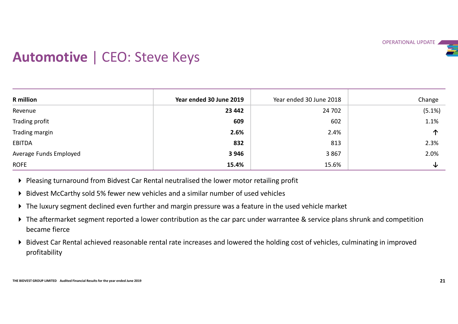# Automotive | CEO: Steve Keys

| Year ended 30 June 2019<br><b>R</b> million<br>Year ended 30 June 2018                                                                                                                                                                                                                                                                                                                                                                                                                                                                                                            | Change |
|-----------------------------------------------------------------------------------------------------------------------------------------------------------------------------------------------------------------------------------------------------------------------------------------------------------------------------------------------------------------------------------------------------------------------------------------------------------------------------------------------------------------------------------------------------------------------------------|--------|
| 23 442<br>24 702<br>Revenue                                                                                                                                                                                                                                                                                                                                                                                                                                                                                                                                                       | (5.1%) |
| 609<br>Trading profit<br>602                                                                                                                                                                                                                                                                                                                                                                                                                                                                                                                                                      | 1.1%   |
| Trading margin<br>2.6%<br>2.4%                                                                                                                                                                                                                                                                                                                                                                                                                                                                                                                                                    | 个      |
| <b>EBITDA</b><br>832<br>813                                                                                                                                                                                                                                                                                                                                                                                                                                                                                                                                                       | 2.3%   |
| Average Funds Employed<br>3 9 4 6<br>3867                                                                                                                                                                                                                                                                                                                                                                                                                                                                                                                                         | 2.0%   |
| 15.4%<br><b>ROFE</b><br>15.6%                                                                                                                                                                                                                                                                                                                                                                                                                                                                                                                                                     | ↓      |
| ▶ Pleasing turnaround from Bidvest Car Rental neutralised the lower motor retailing profit<br>▶ Bidvest McCarthy sold 5% fewer new vehicles and a similar number of used vehicles<br>The luxury segment declined even further and margin pressure was a feature in the used vehicle market<br>▶ The aftermarket segment reported a lower contribution as the car parc under warrantee & service plans shrunk and competition<br>became fierce<br>> Bidvest Car Rental achieved reasonable rental rate increases and lowered the holding cost of vehicles, culminating in improved |        |

- Bidvest McCarthy sold 5% fewer new vehicles and a similar number of used vehicles
- The luxury segment declined even further and margin pressure was a feature in the used vehicle market
- The aftermarket segment reported a lower contribution as the car parc under warrantee & service plans shrunk and competition became fierce
- Bidvest Car Rental achieved reasonable rental rate increases and lowered the holding cost of vehicles, culminating in improved profitability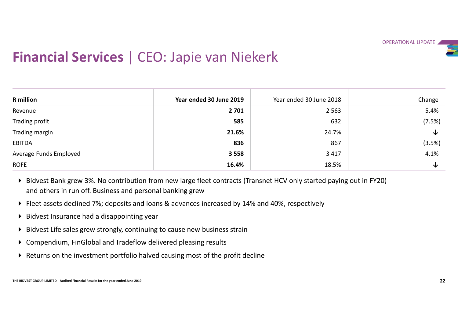

# Financial Services | CEO: Japie van Niekerk

|                                                                                  |                                                                                                                       |                         | OPERATIONAL UPDATE |
|----------------------------------------------------------------------------------|-----------------------------------------------------------------------------------------------------------------------|-------------------------|--------------------|
|                                                                                  | <b>Financial Services   CEO: Japie van Niekerk</b>                                                                    |                         |                    |
|                                                                                  |                                                                                                                       |                         |                    |
|                                                                                  |                                                                                                                       |                         |                    |
| <b>R</b> million                                                                 | Year ended 30 June 2019                                                                                               | Year ended 30 June 2018 | Change             |
| Revenue                                                                          | 2 7 0 1                                                                                                               | 2 5 6 3                 | 5.4%               |
| Trading profit                                                                   | 585                                                                                                                   | 632                     | (7.5%)             |
| Trading margin                                                                   | 21.6%                                                                                                                 | 24.7%                   | ↓                  |
| <b>EBITDA</b>                                                                    | 836                                                                                                                   | 867                     | (3.5%)             |
| Average Funds Employed                                                           | 3 5 5 8                                                                                                               | 3 4 1 7                 | 4.1%               |
| <b>ROFE</b>                                                                      | 16.4%                                                                                                                 | 18.5%                   | ↓                  |
| and others in run off. Business and personal banking grew                        | ▶ Bidvest Bank grew 3%. No contribution from new large fleet contracts (Transnet HCV only started paying out in FY20) |                         |                    |
|                                                                                  | ▶ Fleet assets declined 7%; deposits and loans & advances increased by 14% and 40%, respectively                      |                         |                    |
| ▶ Bidvest Insurance had a disappointing year                                     |                                                                                                                       |                         |                    |
|                                                                                  | ▶ Bidvest Life sales grew strongly, continuing to cause new business strain                                           |                         |                    |
| ▶ Compendium, FinGlobal and Tradeflow delivered pleasing results                 |                                                                                                                       |                         |                    |
|                                                                                  | ▶ Returns on the investment portfolio halved causing most of the profit decline                                       |                         |                    |
|                                                                                  |                                                                                                                       |                         |                    |
|                                                                                  |                                                                                                                       |                         |                    |
| THE BIDVEST GROUP LIMITED Audited Financial Results for the year ended June 2019 |                                                                                                                       |                         | 22                 |

- Bidvest Bank grew 3%. No contribution from new large fleet contracts (Transnet HCV only started paying out in FY20) and others in run off. Business and personal banking grew
- Fleet assets declined 7%; deposits and loans & advances increased by 14% and 40%, respectively
- $\triangleright$  Bidvest Insurance had a disappointing year
- Bidvest Life sales grew strongly, continuing to cause new business strain
- Compendium, FinGlobal and Tradeflow delivered pleasing results
- Returns on the investment portfolio halved causing most of the profit decline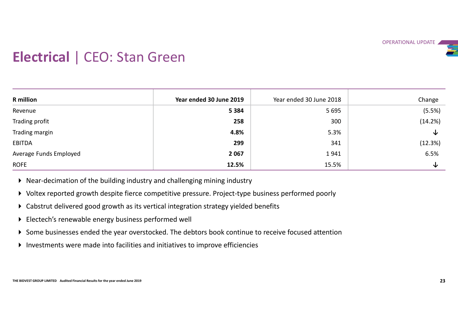# Electrical | CEO: Stan Green

| <b>Electrical   CEO: Stan Green</b>                                                                                                                                                                                                                                                                                                                                                                                                                                                                                                                                                                              |                         |                         | OPERATIONAL UPDATE |
|------------------------------------------------------------------------------------------------------------------------------------------------------------------------------------------------------------------------------------------------------------------------------------------------------------------------------------------------------------------------------------------------------------------------------------------------------------------------------------------------------------------------------------------------------------------------------------------------------------------|-------------------------|-------------------------|--------------------|
| <b>R</b> million                                                                                                                                                                                                                                                                                                                                                                                                                                                                                                                                                                                                 | Year ended 30 June 2019 | Year ended 30 June 2018 | Change             |
| Revenue                                                                                                                                                                                                                                                                                                                                                                                                                                                                                                                                                                                                          | 5 3 8 4                 | 5 6 9 5                 | (5.5%)             |
| Trading profit                                                                                                                                                                                                                                                                                                                                                                                                                                                                                                                                                                                                   | 258                     | 300                     | (14.2%)            |
| Trading margin                                                                                                                                                                                                                                                                                                                                                                                                                                                                                                                                                                                                   | 4.8%                    | 5.3%                    | ↓                  |
| <b>EBITDA</b>                                                                                                                                                                                                                                                                                                                                                                                                                                                                                                                                                                                                    | 299                     | 341                     | (12.3%)            |
| Average Funds Employed                                                                                                                                                                                                                                                                                                                                                                                                                                                                                                                                                                                           | 2 0 6 7                 | 1941                    | 6.5%               |
| <b>ROFE</b>                                                                                                                                                                                                                                                                                                                                                                                                                                                                                                                                                                                                      | 12.5%                   | 15.5%                   | ↓                  |
| ▶ Near-decimation of the building industry and challenging mining industry<br>▶ Voltex reported growth despite fierce competitive pressure. Project-type business performed poorly<br>▶ Cabstrut delivered good growth as its vertical integration strategy yielded benefits<br>▶ Electech's renewable energy business performed well<br>Some businesses ended the year overstocked. The debtors book continue to receive focused attention<br>Investments were made into facilities and initiatives to improve efficiencies<br>THE BIDVEST GROUP LIMITED Audited Financial Results for the year ended June 2019 |                         |                         | 23                 |

- Voltex reported growth despite fierce competitive pressure. Project-type business performed poorly
- Cabstrut delivered good growth as its vertical integration strategy yielded benefits
- Electech's renewable energy business performed well
- Some businesses ended the year overstocked. The debtors book continue to receive focused attention
- Investments were made into facilities and initiatives to improve efficiencies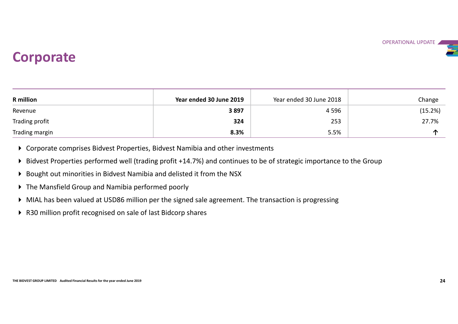# **Corporate**

| <b>Corporate</b> |                         |                         | OPERATIONAL UPDATE |
|------------------|-------------------------|-------------------------|--------------------|
|                  |                         |                         |                    |
| <b>R</b> million | Year ended 30 June 2019 | Year ended 30 June 2018 | Change             |
| Revenue          | 3897                    | 4 5 9 6                 | (15.2%)            |
| Trading profit   | 324                     | 253                     | 27.7%              |

- Corporate comprises Bidvest Properties, Bidvest Namibia and other investments
- Or Corporate comprises Bidvest Properties, Bidvest Namibia and other investments<br>
→ Bidvest Properties performed well (trading profit +14.7%) and continues to be of strategic importance to the Group<br>
→ Bought out minorit Bidvest Properties performed well (trading profit +14.7%) and continues to be of strategic importance to the Group
- Bought out minorities in Bidvest Namibia and delisted it from the NSX
- The Mansfield Group and Namibia performed poorly
- MIAL has been valued at USD86 million per the signed sale agreement. The transaction is progressing
- ▶ R30 million profit recognised on sale of last Bidcorp shares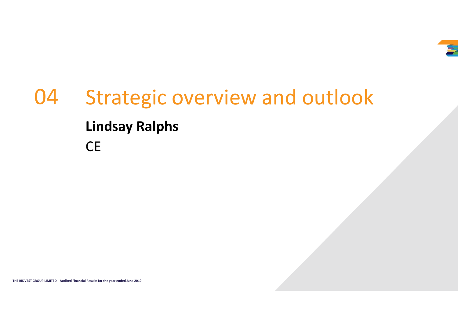

# The BiDVEST GROUP LIMITED AUDIENT MUSIC RESULTS FOR THE YEAR OLD TRANSPORTER.<br>The BiDVEST GROUP LIMITED AND ANNOUNCED AUDIENT CONTINUES FOR THE YEAR OLD TRANSPORTER. Strategic overview and outlook Lindsay Ralphs **CE** 04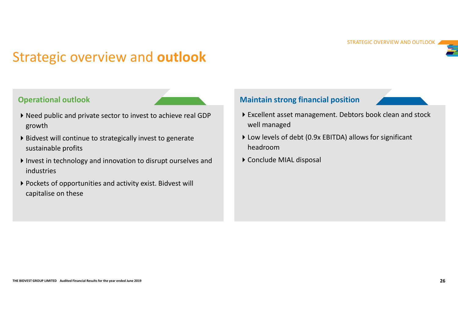# Strategic overview and outlook

### Operational outlook

- Need public and private sector to invest to achieve real GDP growth
- Bidvest will continue to strategically invest to generate sustainable profits
- Sustainable profits<br>
 Invest in technology and innovation to disrupt ourselves and<br>
 Conclude MIAL disposal<br>
 Pockets of opportunities and activity exist. Bidvest will<br>
capitalise on these<br>
—————————————————————————————  $\blacktriangleright$  Invest in technology and innovation to disrupt ourselves and industries **COVET VIEW ATTO OUTIOUR**<br> **COVET VIEW ATTO OUTIOUR**<br>
Read public and private sector to invest to achieve real GDP<br>
growth<br>
Bidvest will continue to strategically invest to generate<br>
sustainable profits<br>
Invest in technolo
	- Pockets of opportunities and activity exist. Bidvest will

### Maintain strong financial position



- Excellent asset management. Debtors book clean and stock well managed
- Low levels of debt (0.9x EBITDA) allows for significant headroom
- Conclude MIAL disposal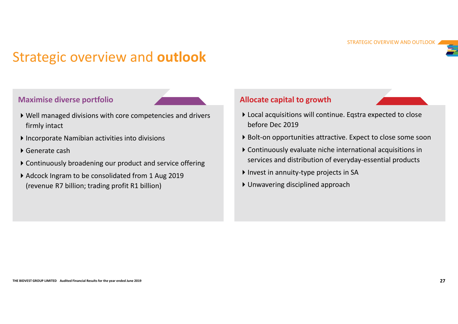# Strategic overview and outlook

- Trategic overview and outlook<br>
Maximise diverse portfolio<br>
▶ Well managed divisions with core competencies and drivers<br>
Firmly intact<br>
▶ Incorporate Namibian activities into divisions firmly intact
- Incorporate Namibian activities into divisions
- Generate cash
- Continuously broadening our product and service offering
- Adcock Ingram to be consolidated from 1 Aug 2019 (revenue R7 billion; trading profit R1 billion)

### Allocate capital to growth



- ▶ Well managed divisions with core competencies and drivers <br>▶ Local acquisitions will continue. Eqstra expected to close STRATEGIC OVERVIEW AND OUTLOOK<br> **Allocate capital to growth**<br> **Eqstra expected to close**<br> **Eqstra expected to close**<br> **Expect to close some soon**<br> **Continuously evaluate niche international acquisitions in** before Dec 2019
	- ▶ Bolt-on opportunities attractive. Expect to close some soon
- F Generate cash<br>
F Continuously broadening our product and service offering<br>
F Continuously broadening our product and service offering<br>
F Adcock Ingram to be consolidated from 1 Aug 2019<br>
Finvest in annuity-type project Continuously evaluate niche international acquisitions in services and distribution of everyday-essential products
	- Invest in annuity-type projects in SA
	- Unwavering disciplined approach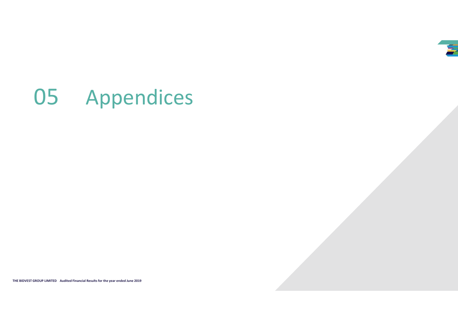# 05 Appendices

THE BIDVEST GROUP LIMITED Audited Financial Results for the year ended June 2019<br>The BiDVEST GROUP LIMITED Audited Financial Results for the year ended June 2019<br>The State Charles of the year ended June 2019 28:00:00 28:00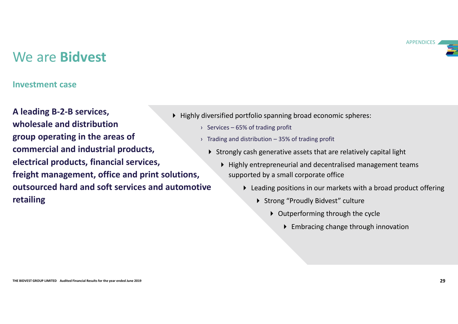**APPENDICES** 

# We are Bidvest

### Investment case

Commercial and industrial products,<br>
electrical products, financial services,<br>
theight management, office and print solutions,<br>
the Highly entrepreneurial and decentralised management teams<br>
outsourced hard and soft servi A leading B-2-B services, **undesale and distribution** and **example 2018** Services - 65% of trading profit group operating in the areas of commercial and industrial products, electrical products, financial services, freight management, office and print solutions, outsourced hard and soft services and automotive retailing

- $\blacktriangleright$  Highly diversified portfolio spanning broad economic spheres:
	-
	-
- APF<br>
APF<br>
diversified portfolio spanning broad economic spheres:<br>
→ Services 65% of trading profit<br>
→ Trading and distribution 35% of trading profit<br>
→ Strongly cash generative assets that are relatively capital light Strongly cash generative assets that are relatively capital light
- APPENDICES<br>
APPENDICES<br>
→ Services 65% of trading profit<br>
→ Trading and distribution 35% of trading profit<br>
→ Trading and distribution 35% of trading profit<br>
→ Strongly cash generative assets that are relatively cap Highly entrepreneurial and decentralised management teams supported by a small corporate office
	- Leading positions in our markets with a broad product offering
		- ▶ Strong "Proudly Bidvest" culture
			- ▶ Outperforming through the cycle
				- Embracing change through innovation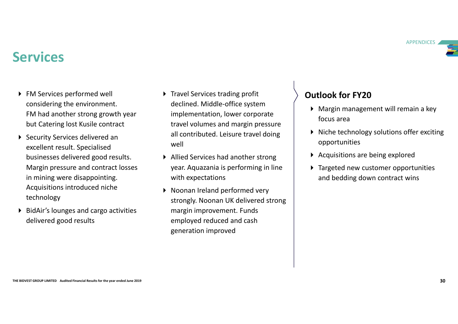

# Services

- ▶ FM Services performed well considering the environment. FM had another strong growth year but Catering lost Kusile contract
- Excellent result. Specialised<br>
businesses delivered good results. <br>
Margin pressure and contract losses<br>
Margin pressure and contract losses<br>
in mining were disappointing.<br>
Acquisitions are being explored<br>
in mining were d ▶ Security Services delivered an excellent result. Specialised businesses delivered good results. Margin pressure and contract losses in mining were disappointing. Acquisitions introduced niche technology
	- ▶ BidAir's lounges and cargo activities delivered good results
- ▶ Travel Services trading profit declined. Middle-office system implementation, lower corporate travel volumes and margin pressure all contributed. Leisure travel doing well
- Allied Services had another strong year. Aquazania is performing in line with expectations
- ▶ Noonan Ireland performed very strongly. Noonan UK delivered strong margin improvement. Funds employed reduced and cash generation improved

- $\triangleright$  Margin management will remain a key focus area
- ▶ Niche technology solutions offer exciting opportunities
- ▶ Acquisitions are being explored
- ▶ Targeted new customer opportunities and bedding down contract wins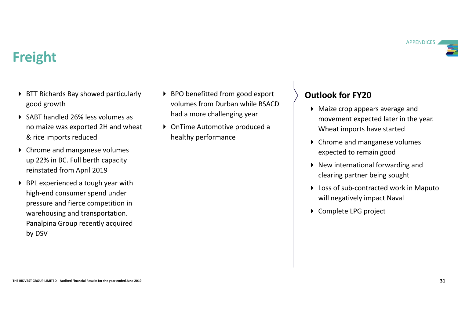### **APPENDICES**

# Freight

- ▶ BTT Richards Bay showed particularly good growth
- ▶ SABT handled 26% less volumes as no maize was exported 2H and wheat & rice imports reduced
- ▶ Chrome and manganese volumes up 22% in BC. Full berth capacity reinstated from April 2019
- For the and manganese volumes<br>
up 22% in BC. Full beth capacity<br>
reinstated from April 2019<br>
FILE experienced a tough year with<br>
Nigh-end consumer spend under<br>
PIE experienced a tough year with<br>
Nigh-end consumer spend und ▶ BPL experienced a tough year with high-end consumer spend under pressure and fierce competition in warehousing and transportation. Panalpina Group recently acquired by DSV
- ▶ BPO benefitted from good export volumes from Durban while BSACD had a more challenging year
- ▶ OnTime Automotive produced a healthy performance

- Maize crop appears average and movement expected later in the year. Wheat imports have started
- ▶ Chrome and manganese volumes expected to remain good
- $\triangleright$  New international forwarding and clearing partner being sought
- ▶ Loss of sub-contracted work in Maputo will negatively impact Naval
- ▶ Complete LPG project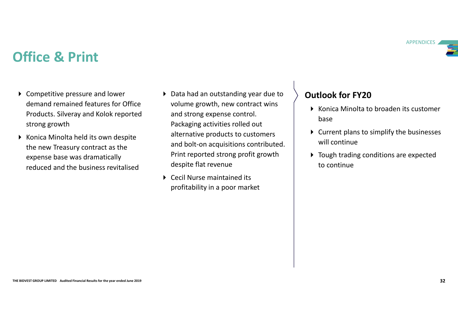- ▶ Competitive pressure and lower demand remained features for Office Products. Silveray and Kolok reported strong growth
- The BIDVEST GROUP CONTROL CONTROL CONTROL CONTROL CONTROL CONTROL CONTROL CONTROL CONTROL CONTROL CONTROL CONTROL CONTROL CONTROL CONTROL CONTROL CONTROL CONTROL CONTROL CONTROL CONTROL CONTROL CONTROL CONTROL CONTROL CONT ▶ Konica Minolta held its own despite the new Treasury contract as the expense base was dramatically reduced and the business revitalised
- ▶ Data had an outstanding year due to volume growth, new contract wins and strong expense control. Packaging activities rolled out alternative products to customers and bolt-on acquisitions contributed. Print reported strong profit growth despite flat revenue
	- Cecil Nurse maintained its profitability in a poor market

- ▶ Konica Minolta to broaden its customer base and the set of the set of the set of the set of the set of the set of the set of the set of the set of th
- $\triangleright$  Current plans to simplify the businesses will continue
- ▶ Tough trading conditions are expected to continue



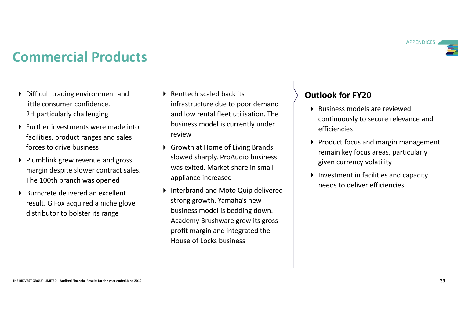**APPENDICES** 

# Commercial Products

- Difficult trading environment and **Difficult trading environment and Difficult Setup** Renttech scaled back its little consumer confidence. 2H particularly challenging
- **Further investments were made into Example 19 SIMES**<br>Failities are shot review facilities, product ranges and sales forces to drive business
- $\triangleright$  Plumblink grew revenue and gross margin despite slower contract sales. The 100th branch was opened
- $\triangleright$  Burncrete delivered an excellent result. G Fox acquired a niche glove distributor to bolster its range
- <table>\n<tbody>\n<tr>\n<th>E20</th>\n</tr>\n<tr>\n<td>REnttech scaled back its<br/>infrastructure due to poor demand<br/>and low rental fleet utilization. The<br/>business model is currently under<br/>review</td>\n<td>Outlook for FY20<br/>Business models are<br/>continuously to sec<br/>efficiencies</td>\n</tr>\n</tbody>\n</table> infrastructure due to poor demand and low rental fleet utilisation. The business model is currently under review **the contract of the contract of the contract of the contract of the contract of the contract of the contract of the contract of the contract of the contract of the contract of the contract of the contract of the co**
- ▶ Growth at Home of Living Brands slowed sharply. ProAudio business was exited. Market share in small appliance increased
- From the University of the University of the School Strains and all the School Strains and all the year ended the year ended the strains are ended as the strains and all the 100th branch was opened appliance increased appl ▶ Interbrand and Moto Quip delivered strong growth. Yamaha's new business model is bedding down. Academy Brushware grew its gross profit margin and integrated the House of Locks business

- Business models are reviewed continuously to secure relevance and efficiencies
- $\triangleright$  Product focus and margin management remain key focus areas, particularly given currency volatility
- ▶ Investment in facilities and capacity needs to deliver efficiencies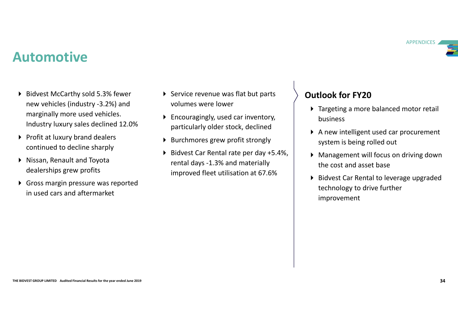# Automotive

- ▶ Bidvest McCarthy sold 5.3% fewer new vehicles (industry -3.2%) and marginally more used vehicles. Industry luxury sales declined 12.0%
- Profit at luxury brand dealers continued to decline sharply
- Nissan, Renault and Toyota dealerships grew profits
- Gross margin pressure was reported in used cars and aftermarket
- ▶ Service revenue was flat but parts volumes were lower
- ▶ Encouragingly, used car inventory, particularly older stock, declined
- ▶ Burchmores grew profit strongly
- Bidvest Car Rental rate per day +5.4%, rental days -1.3% and materially improved fleet utilisation at 67.6%

- ▶ Targeting a more balanced motor retail business
- A new intelligent used car procurement system is being rolled out
- Management will focus on driving down the cost and asset base
- Continued to decline sharply<br>
in Niana, Renaud Limited and Toyota<br>
This and Renaud Toyota (data and Toyota ended improved fleet utilisation at 67.6%<br>
<br>
The cost and asset base<br>
improved fleet utilisation at 67.6%<br>
<br>
<br>
<br>
<br> ▶ Bidvest Car Rental to leverage upgraded technology to drive further improvement

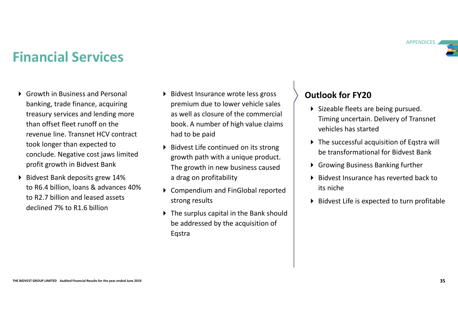**APPENDICES** 

# Financial Services

- Growth in Business and Personal banking, trade finance, acquiring treasury services and lending more than offset fleet runoff on the revenue line. Transnet HCV contract took longer than expected to conclude. Negative cost jaws limited profit growth in Bidvest Bank
- The continent and the properties of the specific scheme of the year of the year of the year of the year of the year of the year of the year of the year of the year of the year of the year of the year of the year of the ye Bidvest Bank deposits grew 14% to R6.4 billion, loans & advances 40% to R2.7 billion and leased assets declined 7% to R1.6 billion
- ▶ Bidvest Insurance wrote less gross premium due to lower vehicle sales as well as closure of the commercial book. A number of high value claims had to be paid
	- ▶ Bidvest Life continued on its strong growth path with a unique product. The growth in new business caused a drag on profitability
	- ▶ Compendium and FinGlobal reported strong results
	- ▶ The surplus capital in the Bank should be addressed by the acquisition of Eqstra

- ▶ Sizeable fleets are being pursued. Timing uncertain. Delivery of Transnet vehicles has started
- ▶ The successful acquisition of Eqstra will be transformational for Bidvest Bank
- Growing Business Banking further
- $\triangleright$  Bidvest Insurance has reverted back to its niche
- $\triangleright$  Bidvest Life is expected to turn profitable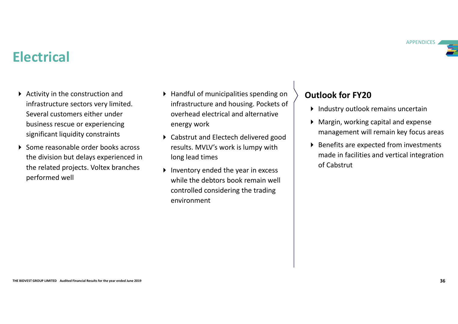

# **Electrical**

- $\triangleright$  Activity in the construction and infrastructure sectors very limited. Several customers either under business rescue or experiencing significant liquidity constraints
- The method of the bights are specified at the steel of the division but delays experienced in a long lead time<br>the year in excess the elated projects. Voltex branches while the debtors book remain well<br>performed well<br>contr Some reasonable order books across the division but delays experienced in the related projects. Voltex branches performed well
- ▶ Handful of municipalities spending on infrastructure and housing. Pockets of overhead electrical and alternative energy work
- ▶ Cabstrut and Electech delivered good results. MVLV's work is lumpy with long lead times
	- $\blacktriangleright$  Inventory ended the year in excess while the debtors book remain well controlled considering the trading environment

- Industry outlook remains uncertain
- Margin, working capital and expense management will remain key focus areas
- ▶ Benefits are expected from investments made in facilities and vertical integration of Cabstrut